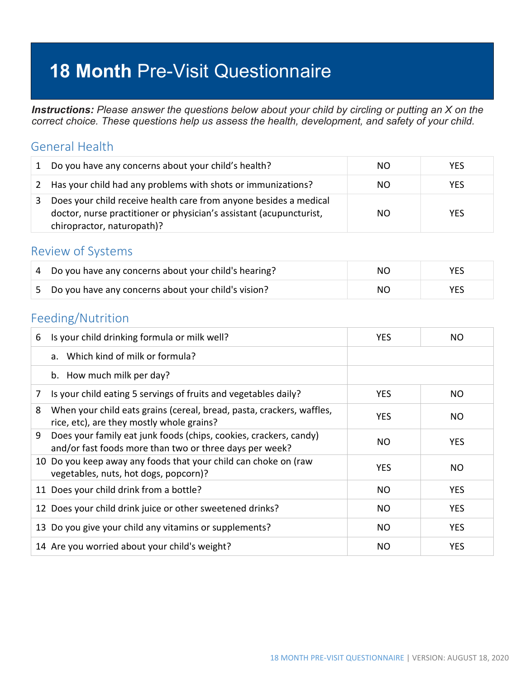# **18 Month** Pre-Visit Questionnaire

*Instructions: Please answer the questions below about your child by circling or putting an X on the correct choice. These questions help us assess the health, development, and safety of your child.*

#### General Health

| 1 | Do you have any concerns about your child's health?                                                                                                                    | NO. | <b>YES</b> |
|---|------------------------------------------------------------------------------------------------------------------------------------------------------------------------|-----|------------|
|   | 2 Has your child had any problems with shots or immunizations?                                                                                                         | NO. | <b>YES</b> |
|   | Does your child receive health care from anyone besides a medical<br>doctor, nurse practitioner or physician's assistant (acupuncturist,<br>chiropractor, naturopath)? | NO. | <b>YES</b> |

#### Review of Systems

| $\vert$ 4 Do you have any concerns about your child's hearing? | NO. | YES |
|----------------------------------------------------------------|-----|-----|
| 5 Do you have any concerns about your child's vision?          | NO. | YES |

#### Feeding/Nutrition

| 6 | Is your child drinking formula or milk well?                                                                                 | <b>YES</b> | NO.        |
|---|------------------------------------------------------------------------------------------------------------------------------|------------|------------|
|   | a. Which kind of milk or formula?                                                                                            |            |            |
|   | b. How much milk per day?                                                                                                    |            |            |
| 7 | Is your child eating 5 servings of fruits and vegetables daily?                                                              | <b>YES</b> | NO.        |
| 8 | When your child eats grains (cereal, bread, pasta, crackers, waffles,<br>rice, etc), are they mostly whole grains?           | <b>YES</b> | NO         |
| 9 | Does your family eat junk foods (chips, cookies, crackers, candy)<br>and/or fast foods more than two or three days per week? | <b>NO</b>  | <b>YES</b> |
|   | 10 Do you keep away any foods that your child can choke on (raw<br>vegetables, nuts, hot dogs, popcorn)?                     | <b>YES</b> | NO.        |
|   | 11 Does your child drink from a bottle?                                                                                      | <b>NO</b>  | <b>YES</b> |
|   | 12 Does your child drink juice or other sweetened drinks?                                                                    | NO         | <b>YES</b> |
|   | 13 Do you give your child any vitamins or supplements?                                                                       | <b>NO</b>  | <b>YES</b> |
|   | 14 Are you worried about your child's weight?                                                                                | <b>NO</b>  | <b>YES</b> |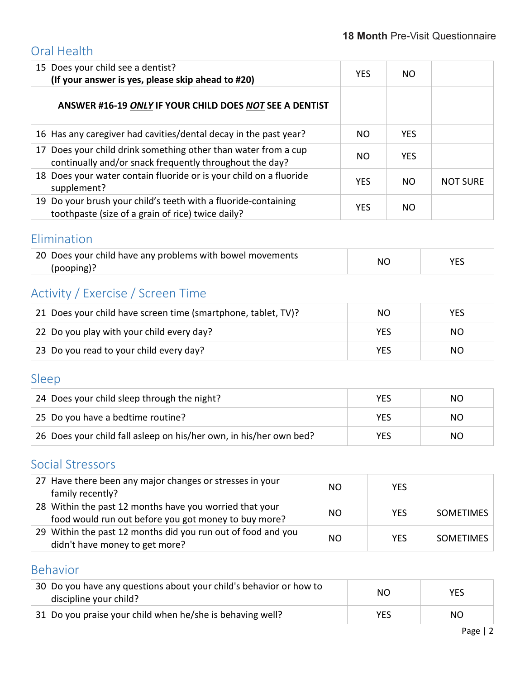### Oral Health

| 15 Does your child see a dentist?<br>(If your answer is yes, please skip ahead to #20)                                    | <b>YES</b> | NO.        |                 |
|---------------------------------------------------------------------------------------------------------------------------|------------|------------|-----------------|
| ANSWER #16-19 ONLY IF YOUR CHILD DOES NOT SEE A DENTIST                                                                   |            |            |                 |
| 16 Has any caregiver had cavities/dental decay in the past year?                                                          | NO         | <b>YES</b> |                 |
| 17 Does your child drink something other than water from a cup<br>continually and/or snack frequently throughout the day? | NO         | <b>YES</b> |                 |
| 18 Does your water contain fluoride or is your child on a fluoride<br>supplement?                                         | <b>YES</b> | <b>NO</b>  | <b>NOT SURE</b> |
| 19 Do your brush your child's teeth with a fluoride-containing<br>toothpaste (size of a grain of rice) twice daily?       | <b>YES</b> | NO.        |                 |

#### Elimination

| 20 Does your child have any problems with bowel movements | N0 |  |
|-----------------------------------------------------------|----|--|
| (pooping)?                                                |    |  |

# Activity / Exercise / Screen Time

| 21 Does your child have screen time (smartphone, tablet, TV)? | NO. | YES. |
|---------------------------------------------------------------|-----|------|
| 22 Do you play with your child every day?                     | YES | NO.  |
| 23 Do you read to your child every day?                       | YES | NO.  |

## Sleep

| 24 Does your child sleep through the night?                        | YES | NO. |
|--------------------------------------------------------------------|-----|-----|
| 25 Do you have a bedtime routine?                                  | YES | NO. |
| 26 Does your child fall asleep on his/her own, in his/her own bed? | YES | NO. |

### Social Stressors

| 27 Have there been any major changes or stresses in your<br>family recently?                                    | <b>NO</b> | <b>YES</b> |                  |
|-----------------------------------------------------------------------------------------------------------------|-----------|------------|------------------|
| 28 Within the past 12 months have you worried that your<br>food would run out before you got money to buy more? | NO.       | <b>YES</b> | <b>SOMETIMES</b> |
| 29 Within the past 12 months did you run out of food and you<br>didn't have money to get more?                  | <b>NO</b> | <b>YFS</b> | <b>SOMETIMES</b> |

# Behavior

| 30 Do you have any questions about your child's behavior or how to<br>discipline your child? | NΟ         | <b>YES</b> |
|----------------------------------------------------------------------------------------------|------------|------------|
| 31 Do you praise your child when he/she is behaving well?                                    | <b>YES</b> | NO.        |